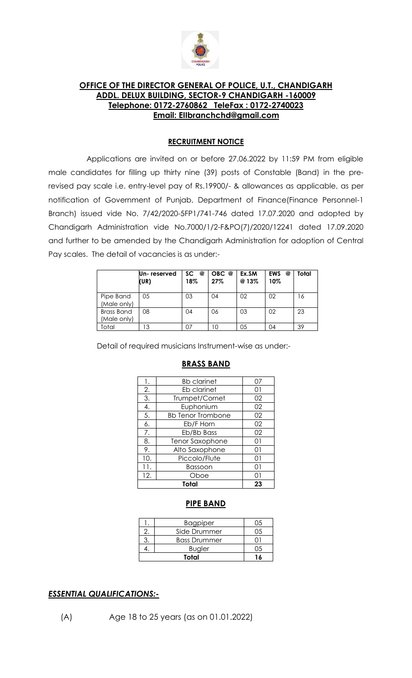

### **OFFICE OF THE DIRECTOR GENERAL OF POLICE, U.T., CHANDIGARH ADDL. DELUX BUILDING, SECTOR-9 CHANDIGARH -160009 Telephone: 0172-2760862 TeleFax : 0172-2740023 Email: EIIbranchchd@gmail.com**

#### **RECRUITMENT NOTICE**

Applications are invited on or before 27.06.2022 by 11:59 PM from eligible male candidates for filling up thirty nine (39) posts of Constable (Band) in the prerevised pay scale i.e. entry-level pay of Rs.19900/- & allowances as applicable, as per notification of Government of Punjab, Department of Finance(Finance Personnel-1 Branch) issued vide No. 7/42/2020-5FP1/741-746 dated 17.07.2020 and adopted by Chandigarh Administration vide No.7000/1/2-F&PO(7)/2020/12241 dated 17.09.2020 and further to be amended by the Chandigarh Administration for adoption of Central Pay scales. The detail of vacancies is as under:-

|                                  | Un- reserved<br>(UR) | SC @<br>18% | OBC @<br>27% | Ex.SM<br>@13% | <b>EWS</b><br>@<br>10% | Total |
|----------------------------------|----------------------|-------------|--------------|---------------|------------------------|-------|
| Pipe Band<br>(Male only)         | 05                   | 03          | 04           | 02            | 02                     | 16    |
| <b>Brass Band</b><br>(Male only) | 08                   | 04          | 06           | 03            | 02                     | 23    |
| Total                            | Ι3                   |             | 10           | 05            | 04                     | 39    |

Detail of required musicians Instrument-wise as under:-

| <b>Bb clarinet</b>       | Ω7 |  |
|--------------------------|----|--|
| Eb clarinet              | 01 |  |
| Trumpet/Cornet           | 02 |  |
| Euphonium                | 02 |  |
| <b>Bb Tenor Trombone</b> | 02 |  |
| Eb/F Horn                | 02 |  |
| Eb/Bb Bass               | 02 |  |
| Tenor Saxophone          | 01 |  |
| Alto Saxophone           | 01 |  |
| Piccolo/Flute            | 01 |  |
| Bassoon                  | 01 |  |
| Oboe                     | ດ1 |  |
| Total                    |    |  |
|                          |    |  |

#### **BRASS BAND**

#### **PIPE BAND**

|  | <b>Bagpiper</b>     |  |
|--|---------------------|--|
|  | Side Drummer        |  |
|  | <b>Bass Drummer</b> |  |
|  | <b>Bugler</b>       |  |
|  |                     |  |

#### *ESSENTIAL QUALIFICATIONS:-*

(A) Age 18 to 25 years (as on 01.01.2022)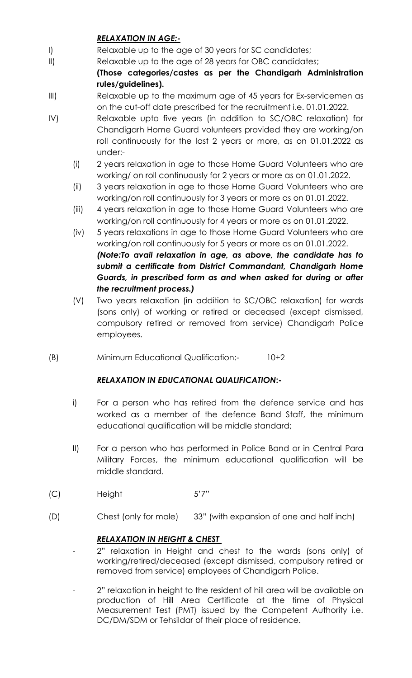# *RELAXATION IN AGE:-*

- I) Relaxable up to the age of 30 years for SC candidates;
- II) Relaxable up to the age of 28 years for OBC candidates;

**(Those categories/castes as per the Chandigarh Administration rules/guidelines).**

- III) Relaxable up to the maximum age of 45 years for Ex-servicemen as on the cut-off date prescribed for the recruitment i.e. 01.01.2022.
- IV) Relaxable upto five years (in addition to SC/OBC relaxation) for Chandigarh Home Guard volunteers provided they are working/on roll continuously for the last 2 years or more, as on 01.01.2022 as under:-
	- (i) 2 years relaxation in age to those Home Guard Volunteers who are working/ on roll continuously for 2 years or more as on 01.01.2022.
	- (ii) 3 years relaxation in age to those Home Guard Volunteers who are working/on roll continuously for 3 years or more as on 01.01.2022.
	- (iii) 4 years relaxation in age to those Home Guard Volunteers who are working/on roll continuously for 4 years or more as on 01.01.2022.
	- (iv) 5 years relaxations in age to those Home Guard Volunteers who are working/on roll continuously for 5 years or more as on 01.01.2022. *(Note:To avail relaxation in age, as above, the candidate has to submit a certificate from District Commandant, Chandigarh Home Guards, in prescribed form as and when asked for during or after the recruitment process.)*
	- (V) Two years relaxation (in addition to SC/OBC relaxation) for wards (sons only) of working or retired or deceased (except dismissed, compulsory retired or removed from service) Chandigarh Police employees.
- (B) Minimum Educational Qualification:- 10+2

# *RELAXATION IN EDUCATIONAL QUALIFICATION***:-**

- i) For a person who has retired from the defence service and has worked as a member of the defence Band Staff, the minimum educational qualification will be middle standard;
- II) For a person who has performed in Police Band or in Central Para Military Forces, the minimum educational qualification will be middle standard.
- (C) Height 5'7"
- (D) Chest (only for male) 33" (with expansion of one and half inch)

# *RELAXATION IN HEIGHT & CHEST*

- 2" relaxation in Height and chest to the wards (sons only) of working/retired/deceased (except dismissed, compulsory retired or removed from service) employees of Chandigarh Police.
- 2" relaxation in height to the resident of hill area will be available on production of Hill Area Certificate at the time of Physical Measurement Test (PMT) issued by the Competent Authority i.e. DC/DM/SDM or Tehsildar of their place of residence.